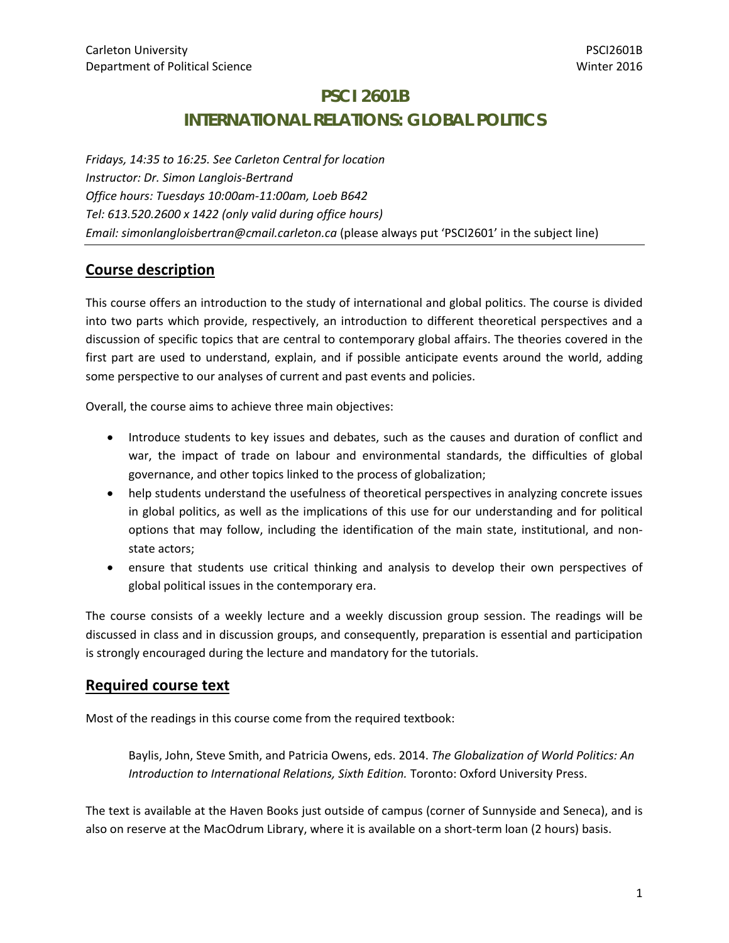# **PSCI 2601B INTERNATIONAL RELATIONS: GLOBAL POLITICS**

*Fridays, 14:35 to 16:25. See Carleton Central for location Instructor: Dr. Simon Langlois‐Bertrand Office hours: Tuesdays 10:00am‐11:00am, Loeb B642 Tel: 613.520.2600 x 1422 (only valid during office hours) Email: simonlangloisbertran@cmail.carleton.ca* (please always put 'PSCI2601' in the subject line)

# **Course description**

This course offers an introduction to the study of international and global politics. The course is divided into two parts which provide, respectively, an introduction to different theoretical perspectives and a discussion of specific topics that are central to contemporary global affairs. The theories covered in the first part are used to understand, explain, and if possible anticipate events around the world, adding some perspective to our analyses of current and past events and policies.

Overall, the course aims to achieve three main objectives:

- Introduce students to key issues and debates, such as the causes and duration of conflict and war, the impact of trade on labour and environmental standards, the difficulties of global governance, and other topics linked to the process of globalization;
- help students understand the usefulness of theoretical perspectives in analyzing concrete issues in global politics, as well as the implications of this use for our understanding and for political options that may follow, including the identification of the main state, institutional, and non‐ state actors;
- ensure that students use critical thinking and analysis to develop their own perspectives of global political issues in the contemporary era.

The course consists of a weekly lecture and a weekly discussion group session. The readings will be discussed in class and in discussion groups, and consequently, preparation is essential and participation is strongly encouraged during the lecture and mandatory for the tutorials.

### **Required course text**

Most of the readings in this course come from the required textbook:

Baylis, John, Steve Smith, and Patricia Owens, eds. 2014. *The Globalization of World Politics: An Introduction to International Relations, Sixth Edition.* Toronto: Oxford University Press.

The text is available at the Haven Books just outside of campus (corner of Sunnyside and Seneca), and is also on reserve at the MacOdrum Library, where it is available on a short-term loan (2 hours) basis.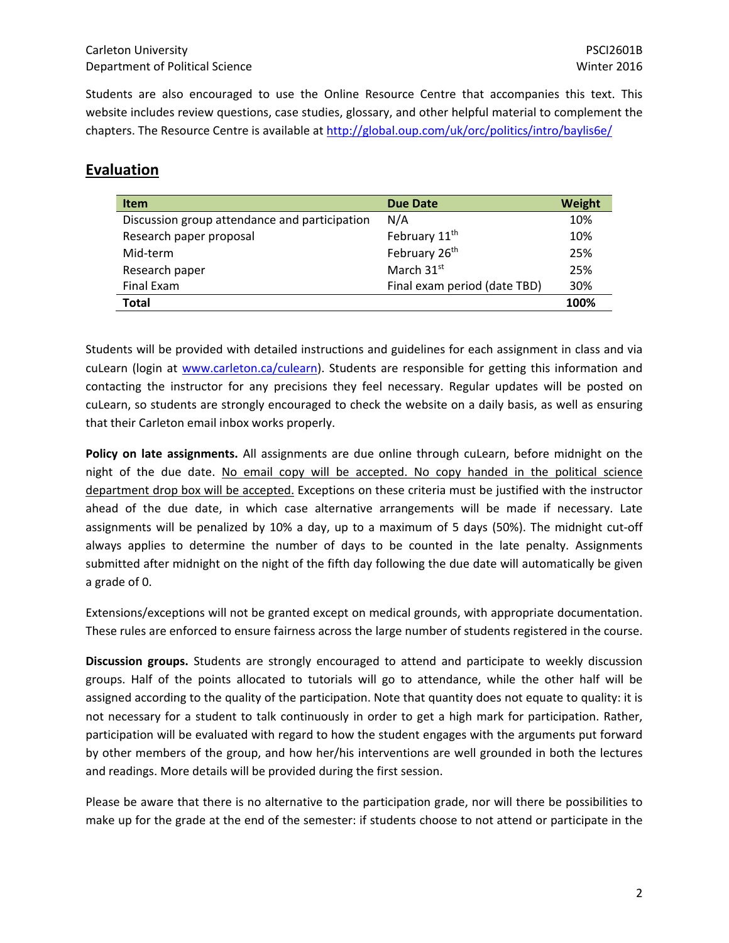Students are also encouraged to use the Online Resource Centre that accompanies this text. This website includes review questions, case studies, glossary, and other helpful material to complement the chapters. The Resource Centre is available at http://global.oup.com/uk/orc/politics/intro/baylis6e/

# **Evaluation**

| <b>Item</b>                                   | <b>Due Date</b>              | Weight |
|-----------------------------------------------|------------------------------|--------|
| Discussion group attendance and participation | N/A                          | 10%    |
| Research paper proposal                       | February 11 <sup>th</sup>    | 10%    |
| Mid-term                                      | February 26th                | 25%    |
| Research paper                                | March 31st                   | 25%    |
| Final Exam                                    | Final exam period (date TBD) | 30%    |
| <b>Total</b>                                  |                              | 100%   |

Students will be provided with detailed instructions and guidelines for each assignment in class and via cuLearn (login at www.carleton.ca/culearn). Students are responsible for getting this information and contacting the instructor for any precisions they feel necessary. Regular updates will be posted on cuLearn, so students are strongly encouraged to check the website on a daily basis, as well as ensuring that their Carleton email inbox works properly.

**Policy on late assignments.** All assignments are due online through cuLearn, before midnight on the night of the due date. No email copy will be accepted. No copy handed in the political science department drop box will be accepted. Exceptions on these criteria must be justified with the instructor ahead of the due date, in which case alternative arrangements will be made if necessary. Late assignments will be penalized by 10% a day, up to a maximum of 5 days (50%). The midnight cut‐off always applies to determine the number of days to be counted in the late penalty. Assignments submitted after midnight on the night of the fifth day following the due date will automatically be given a grade of 0.

Extensions/exceptions will not be granted except on medical grounds, with appropriate documentation. These rules are enforced to ensure fairness across the large number of students registered in the course.

**Discussion groups.** Students are strongly encouraged to attend and participate to weekly discussion groups. Half of the points allocated to tutorials will go to attendance, while the other half will be assigned according to the quality of the participation. Note that quantity does not equate to quality: it is not necessary for a student to talk continuously in order to get a high mark for participation. Rather, participation will be evaluated with regard to how the student engages with the arguments put forward by other members of the group, and how her/his interventions are well grounded in both the lectures and readings. More details will be provided during the first session.

Please be aware that there is no alternative to the participation grade, nor will there be possibilities to make up for the grade at the end of the semester: if students choose to not attend or participate in the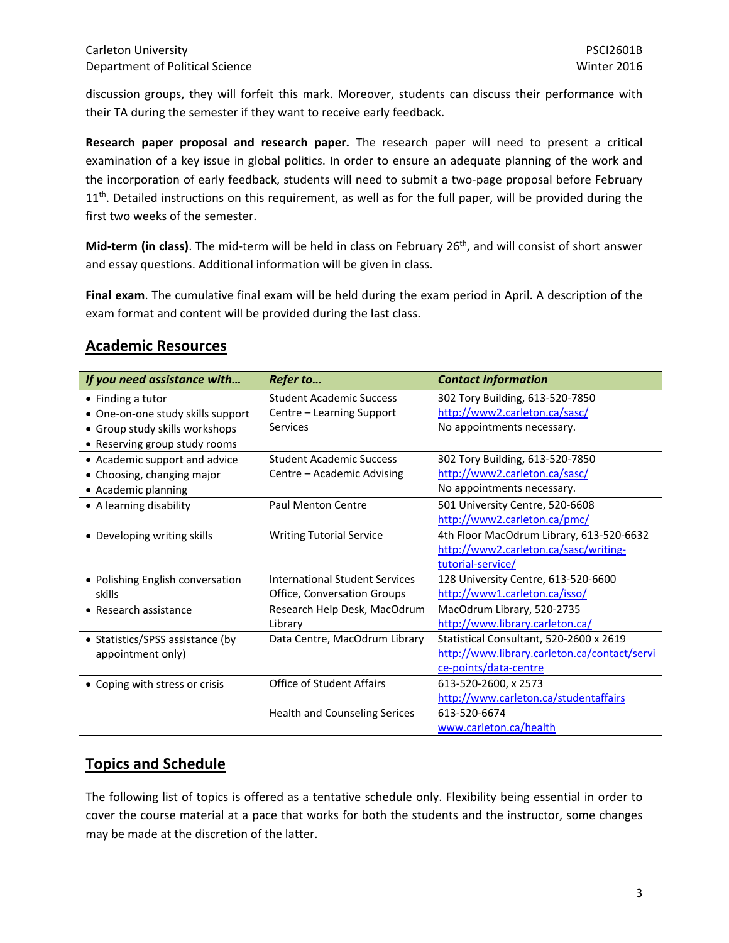discussion groups, they will forfeit this mark. Moreover, students can discuss their performance with their TA during the semester if they want to receive early feedback.

**Research paper proposal and research paper.** The research paper will need to present a critical examination of a key issue in global politics. In order to ensure an adequate planning of the work and the incorporation of early feedback, students will need to submit a two-page proposal before February  $11<sup>th</sup>$ . Detailed instructions on this requirement, as well as for the full paper, will be provided during the first two weeks of the semester.

**Mid‐term (in class)**. The mid‐term will be held in class on February 26th, and will consist of short answer and essay questions. Additional information will be given in class.

**Final exam**. The cumulative final exam will be held during the exam period in April. A description of the exam format and content will be provided during the last class.

## **Academic Resources**

| If you need assistance with       | Refer to                              | <b>Contact Information</b>                   |
|-----------------------------------|---------------------------------------|----------------------------------------------|
| • Finding a tutor                 | <b>Student Academic Success</b>       | 302 Tory Building, 613-520-7850              |
| • One-on-one study skills support | Centre - Learning Support             | http://www2.carleton.ca/sasc/                |
| • Group study skills workshops    | Services                              | No appointments necessary.                   |
| • Reserving group study rooms     |                                       |                                              |
| • Academic support and advice     | <b>Student Academic Success</b>       | 302 Tory Building, 613-520-7850              |
| • Choosing, changing major        | Centre – Academic Advising            | http://www2.carleton.ca/sasc/                |
| • Academic planning               |                                       | No appointments necessary.                   |
| • A learning disability           | <b>Paul Menton Centre</b>             | 501 University Centre, 520-6608              |
|                                   |                                       | http://www2.carleton.ca/pmc/                 |
| • Developing writing skills       | <b>Writing Tutorial Service</b>       | 4th Floor MacOdrum Library, 613-520-6632     |
|                                   |                                       | http://www2.carleton.ca/sasc/writing-        |
|                                   |                                       | tutorial-service/                            |
| • Polishing English conversation  | <b>International Student Services</b> | 128 University Centre, 613-520-6600          |
| skills                            | Office, Conversation Groups           | http://www1.carleton.ca/isso/                |
| • Research assistance             | Research Help Desk, MacOdrum          | MacOdrum Library, 520-2735                   |
|                                   | Library                               | http://www.library.carleton.ca/              |
| • Statistics/SPSS assistance (by  | Data Centre, MacOdrum Library         | Statistical Consultant, 520-2600 x 2619      |
| appointment only)                 |                                       | http://www.library.carleton.ca/contact/servi |
|                                   |                                       | ce-points/data-centre                        |
| • Coping with stress or crisis    | Office of Student Affairs             | 613-520-2600, x 2573                         |
|                                   |                                       | http://www.carleton.ca/studentaffairs        |
|                                   | <b>Health and Counseling Serices</b>  | 613-520-6674                                 |
|                                   |                                       | www.carleton.ca/health                       |

# **Topics and Schedule**

The following list of topics is offered as a tentative schedule only. Flexibility being essential in order to cover the course material at a pace that works for both the students and the instructor, some changes may be made at the discretion of the latter.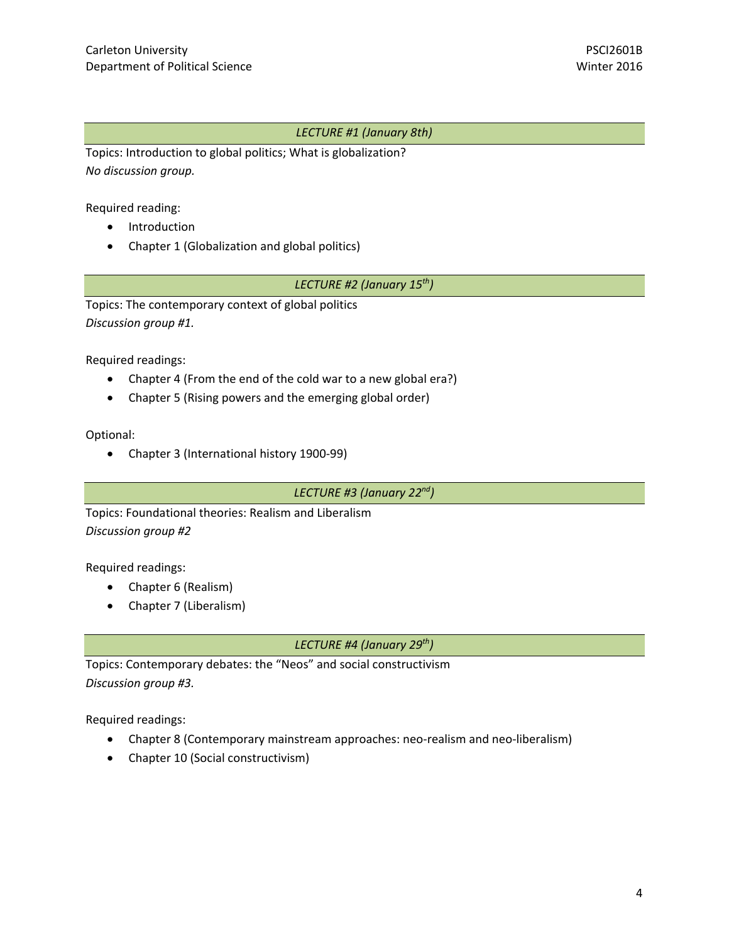#### *LECTURE #1 (January 8th)*

Topics: Introduction to global politics; What is globalization? *No discussion group.*

Required reading:

- Introduction
- Chapter 1 (Globalization and global politics)

### *LECTURE #2 (January 15th)*

Topics: The contemporary context of global politics *Discussion group #1.*

Required readings:

- Chapter 4 (From the end of the cold war to a new global era?)
- Chapter 5 (Rising powers and the emerging global order)

Optional:

Chapter 3 (International history 1900‐99)

*LECTURE #3 (January 22nd)*

Topics: Foundational theories: Realism and Liberalism *Discussion group #2*

Required readings:

- Chapter 6 (Realism)
- Chapter 7 (Liberalism)

*LECTURE #4 (January 29th)*

Topics: Contemporary debates: the "Neos" and social constructivism *Discussion group #3.*

Required readings:

- Chapter 8 (Contemporary mainstream approaches: neo-realism and neo-liberalism)
- Chapter 10 (Social constructivism)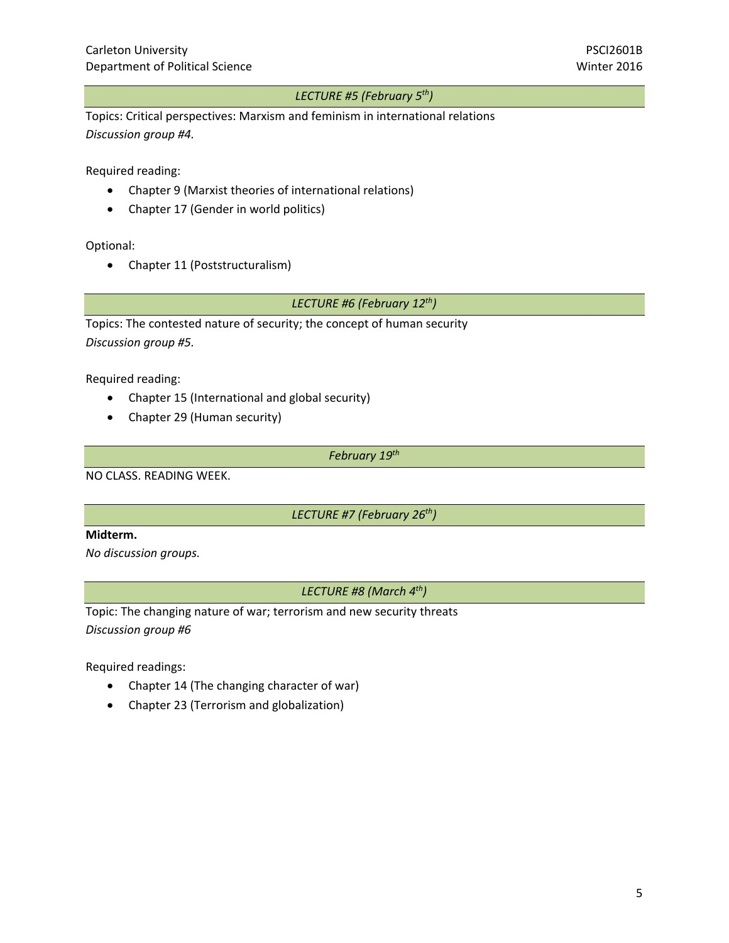#### *LECTURE #5 (February 5th)*

Topics: Critical perspectives: Marxism and feminism in international relations *Discussion group #4.*

Required reading:

- Chapter 9 (Marxist theories of international relations)
- Chapter 17 (Gender in world politics)

Optional:

• Chapter 11 (Poststructuralism)

#### *LECTURE #6 (February 12th)*

Topics: The contested nature of security; the concept of human security *Discussion group #5.*

Required reading:

- Chapter 15 (International and global security)
- Chapter 29 (Human security)

*February 19th* 

NO CLASS. READING WEEK.

*LECTURE #7 (February 26th)*

#### **Midterm.**

*No discussion groups.*

*LECTURE #8 (March 4th)*

Topic: The changing nature of war; terrorism and new security threats *Discussion group #6*

Required readings:

- Chapter 14 (The changing character of war)
- Chapter 23 (Terrorism and globalization)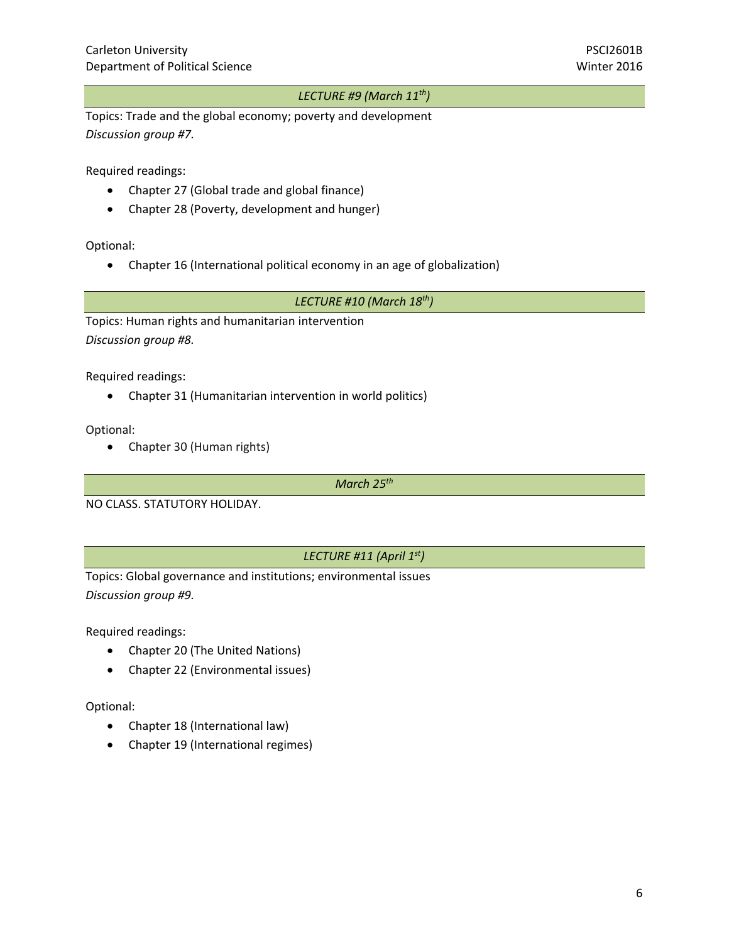#### *LECTURE #9 (March 11th)*

Topics: Trade and the global economy; poverty and development *Discussion group #7.*

Required readings:

- Chapter 27 (Global trade and global finance)
- Chapter 28 (Poverty, development and hunger)

Optional:

Chapter 16 (International political economy in an age of globalization)

*LECTURE #10 (March 18th)*

Topics: Human rights and humanitarian intervention *Discussion group #8.*

Required readings:

Chapter 31 (Humanitarian intervention in world politics)

Optional:

Chapter 30 (Human rights)

*March 25th* 

NO CLASS. STATUTORY HOLIDAY.

#### *LECTURE #11 (April 1st)*

Topics: Global governance and institutions; environmental issues *Discussion group #9.*

Required readings:

- Chapter 20 (The United Nations)
- Chapter 22 (Environmental issues)

Optional:

- Chapter 18 (International law)
- Chapter 19 (International regimes)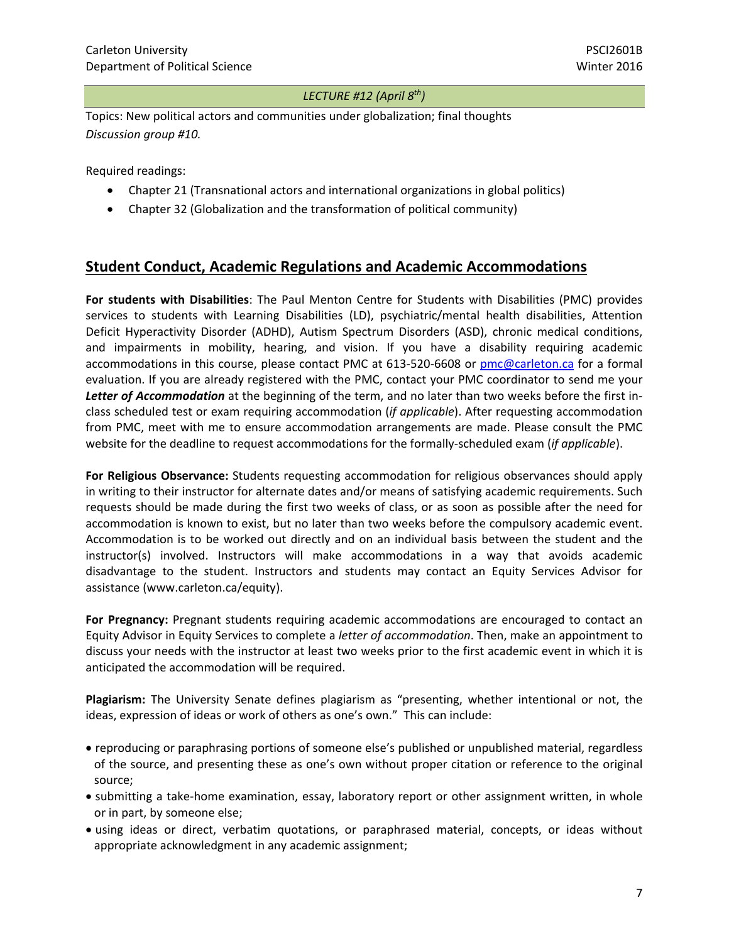#### *LECTURE #12 (April 8th)*

Topics: New political actors and communities under globalization; final thoughts *Discussion group #10.*

Required readings:

- Chapter 21 (Transnational actors and international organizations in global politics)
- Chapter 32 (Globalization and the transformation of political community)

## **Student Conduct, Academic Regulations and Academic Accommodations**

**For students with Disabilities**: The Paul Menton Centre for Students with Disabilities (PMC) provides services to students with Learning Disabilities (LD), psychiatric/mental health disabilities, Attention Deficit Hyperactivity Disorder (ADHD), Autism Spectrum Disorders (ASD), chronic medical conditions, and impairments in mobility, hearing, and vision. If you have a disability requiring academic accommodations in this course, please contact PMC at 613‐520‐6608 or pmc@carleton.ca for a formal evaluation. If you are already registered with the PMC, contact your PMC coordinator to send me your *Letter of Accommodation* at the beginning of the term, and no later than two weeks before the first in‐ class scheduled test or exam requiring accommodation (*if applicable*). After requesting accommodation from PMC, meet with me to ensure accommodation arrangements are made. Please consult the PMC website for the deadline to request accommodations for the formally‐scheduled exam (*if applicable*).

**For Religious Observance:** Students requesting accommodation for religious observances should apply in writing to their instructor for alternate dates and/or means of satisfying academic requirements. Such requests should be made during the first two weeks of class, or as soon as possible after the need for accommodation is known to exist, but no later than two weeks before the compulsory academic event. Accommodation is to be worked out directly and on an individual basis between the student and the instructor(s) involved. Instructors will make accommodations in a way that avoids academic disadvantage to the student. Instructors and students may contact an Equity Services Advisor for assistance (www.carleton.ca/equity).

**For Pregnancy:** Pregnant students requiring academic accommodations are encouraged to contact an Equity Advisor in Equity Services to complete a *letter of accommodation*. Then, make an appointment to discuss your needs with the instructor at least two weeks prior to the first academic event in which it is anticipated the accommodation will be required.

**Plagiarism:** The University Senate defines plagiarism as "presenting, whether intentional or not, the ideas, expression of ideas or work of others as one's own." This can include:

- reproducing or paraphrasing portions of someone else's published or unpublished material, regardless of the source, and presenting these as one's own without proper citation or reference to the original source;
- submitting a take-home examination, essay, laboratory report or other assignment written, in whole or in part, by someone else;
- using ideas or direct, verbatim quotations, or paraphrased material, concepts, or ideas without appropriate acknowledgment in any academic assignment;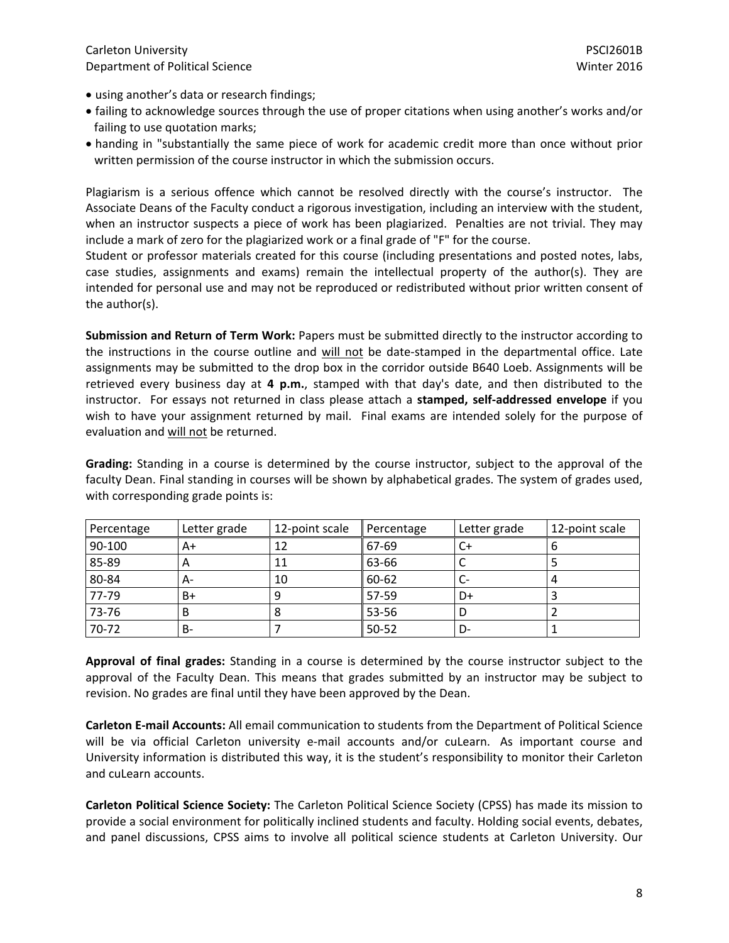- using another's data or research findings;
- failing to acknowledge sources through the use of proper citations when using another's works and/or failing to use quotation marks;
- handing in "substantially the same piece of work for academic credit more than once without prior written permission of the course instructor in which the submission occurs.

Plagiarism is a serious offence which cannot be resolved directly with the course's instructor. The Associate Deans of the Faculty conduct a rigorous investigation, including an interview with the student, when an instructor suspects a piece of work has been plagiarized. Penalties are not trivial. They may include a mark of zero for the plagiarized work or a final grade of "F" for the course.

Student or professor materials created for this course (including presentations and posted notes, labs, case studies, assignments and exams) remain the intellectual property of the author(s). They are intended for personal use and may not be reproduced or redistributed without prior written consent of the author(s).

**Submission and Return of Term Work:** Papers must be submitted directly to the instructor according to the instructions in the course outline and will not be date-stamped in the departmental office. Late assignments may be submitted to the drop box in the corridor outside B640 Loeb. Assignments will be retrieved every business day at **4 p.m.**, stamped with that day's date, and then distributed to the instructor. For essays not returned in class please attach a **stamped, self‐addressed envelope** if you wish to have your assignment returned by mail. Final exams are intended solely for the purpose of evaluation and will not be returned.

**Grading:** Standing in a course is determined by the course instructor, subject to the approval of the faculty Dean. Final standing in courses will be shown by alphabetical grades. The system of grades used, with corresponding grade points is:

| Percentage | Letter grade | 12-point scale | Percentage | Letter grade | 12-point scale |
|------------|--------------|----------------|------------|--------------|----------------|
| 90-100     | A+           | 12             | 67-69      | ີເ⊤          |                |
| 85-89      | A            | 11             | 63-66      |              |                |
| 80-84      | А-           | 10             | 60-62      |              |                |
| 77-79      | B+           |                | 57-59      | D+           |                |
| 73-76      | В            | 8              | 53-56      |              |                |
| 70-72      | B-           |                | 50-52      | D-           |                |

**Approval of final grades:** Standing in a course is determined by the course instructor subject to the approval of the Faculty Dean. This means that grades submitted by an instructor may be subject to revision. No grades are final until they have been approved by the Dean.

**Carleton E‐mail Accounts:** All email communication to students from the Department of Political Science will be via official Carleton university e-mail accounts and/or cuLearn. As important course and University information is distributed this way, it is the student's responsibility to monitor their Carleton and cuLearn accounts.

**Carleton Political Science Society:** The Carleton Political Science Society (CPSS) has made its mission to provide a social environment for politically inclined students and faculty. Holding social events, debates, and panel discussions, CPSS aims to involve all political science students at Carleton University. Our